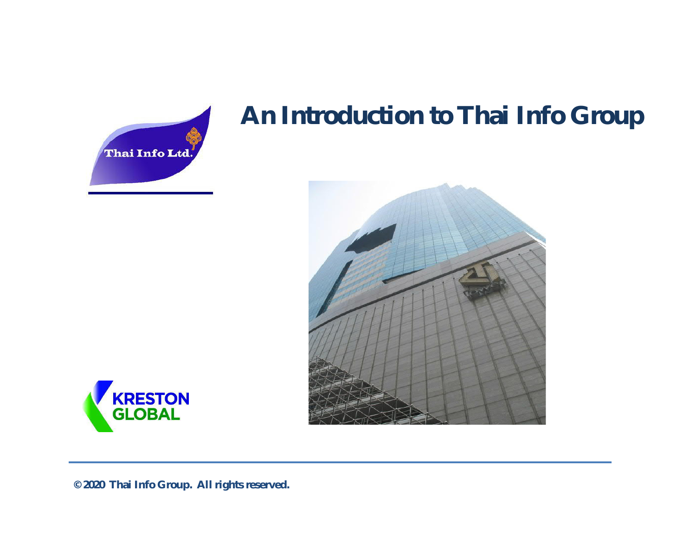

## **An Introduction to Thai Info Group**





**© 2020 Thai Info Group. All rights reserved.**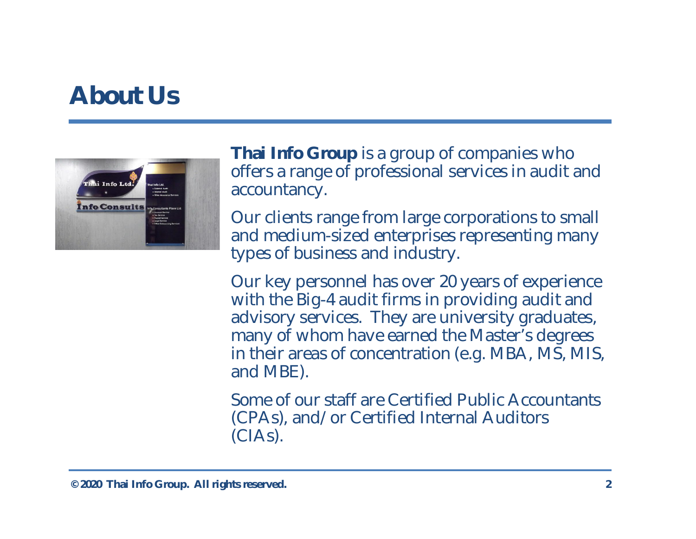## **About Us**



**Thai Info Group** is a group of companies who offers a range of professional services in audit and accountancy.

Our clients range from large corporations to small and medium-sized enterprises representing many types of business and industry.

Our key personnel has over 20 years of experience with the Big-4 audit firms in providing audit and advisory services. They are university graduates, many of whom have earned the Master's degrees in their areas of concentration (e.g. MBA, MS, MIS, and MBE).

Some of our staff are Certified Public Accountants (CPAs), and/or Certified Internal Auditors (CIAs).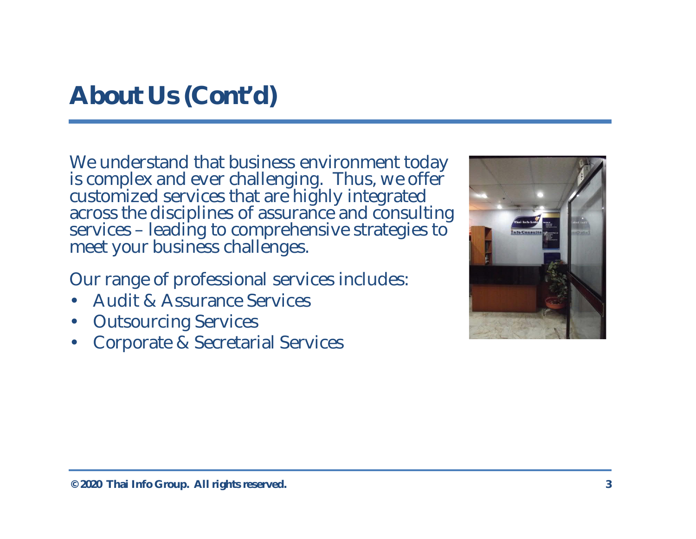## **About Us (Cont'd)**

We understand that business environment today is complex and ever challenging. Thus, we offer customized services that are highly integrated across the disciplines of assurance and consulting services – leading to comprehensive strategies to meet your business challenges.

Our range of professional services includes:

- Audit & Assurance Services
- Outsourcing Services
- Corporate & Secretarial Services

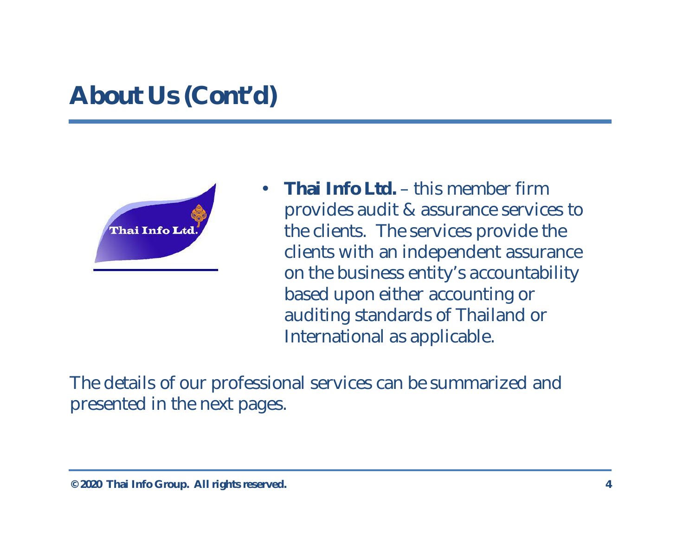## **About Us (Cont'd)**



• **Thai Info Ltd.** – this member firm provides audit & assurance services to the clients. The services provide the clients with an independent assurance on the business entity's accountability based upon either accounting or auditing standards of Thailand or International as applicable.

The details of our professional services can be summarized and presented in the next pages.

**<sup>© 2020</sup> Thai Info Group. All rights reserved. 4**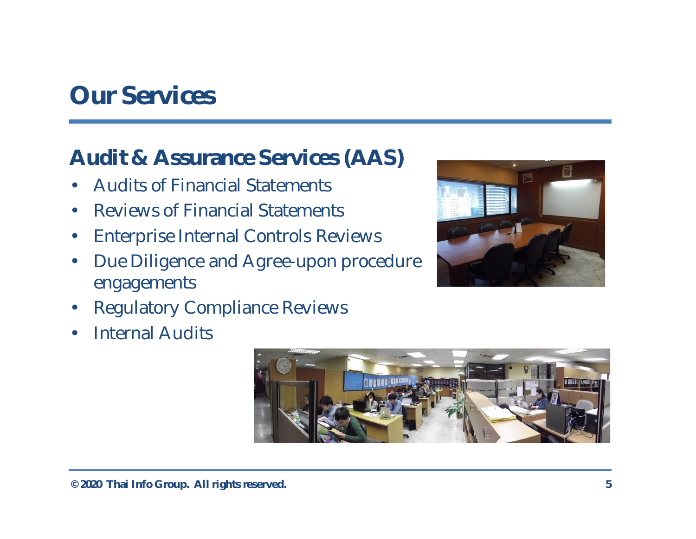## **Our Services**

### **Audit & Assurance Services (AAS)**

- Audits of Financial Statements
- Reviews of Financial Statements
- Enterprise Internal Controls Reviews
- Due Diligence and Agree-upon procedure engagements
- Regulatory Compliance Reviews
- **Internal Audits**



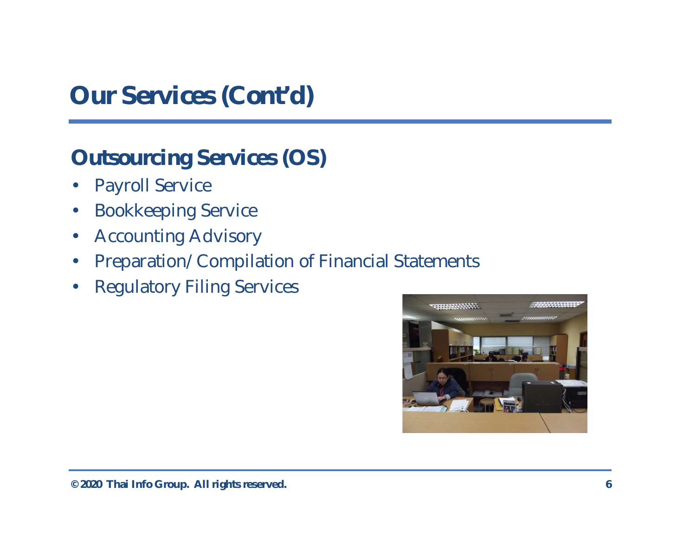**Outsourcing Services (OS)**

- Payroll Service
- Bookkeeping Service
- Accounting Advisory
- Preparation/Compilation of Financial Statements
- Regulatory Filing Services

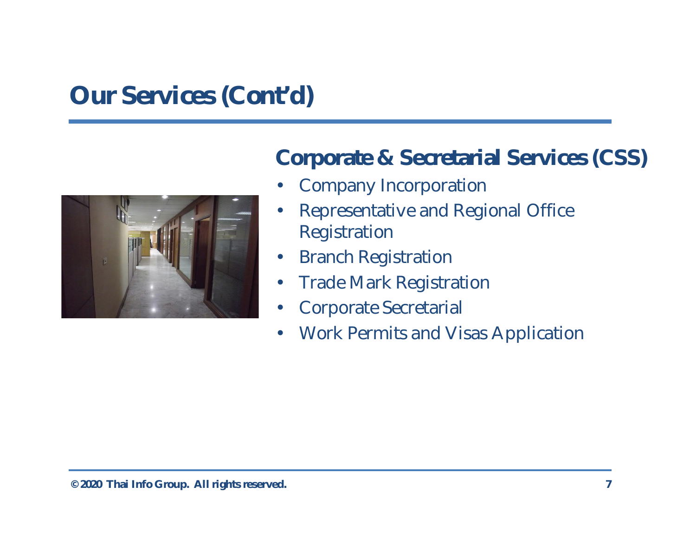

**Corporate & Secretarial Services (CSS)**

- Company Incorporation
- Representative and Regional Office Registration
- Branch Registration
- Trade Mark Registration
- Corporate Secretarial
- Work Permits and Visas Application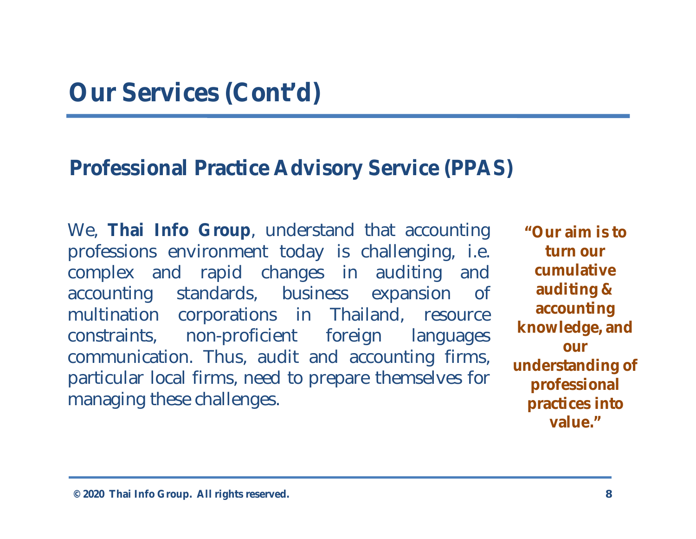#### **Professional Practice Advisory Service (PPAS)**

We, **Thai Info Group**, understand that accounting professions environment today is challenging, i.e. complex and rapid changes in auditing and accounting standards, business expansion of multination corporations in Thailand, resource constraints, non-proficient foreign languages communication. Thus, audit and accounting firms, particular local firms, need to prepare themselves for managing these challenges.

**"Our aim is to turn our cumulative auditing & accounting knowledge, and our understanding of professional practices into value."**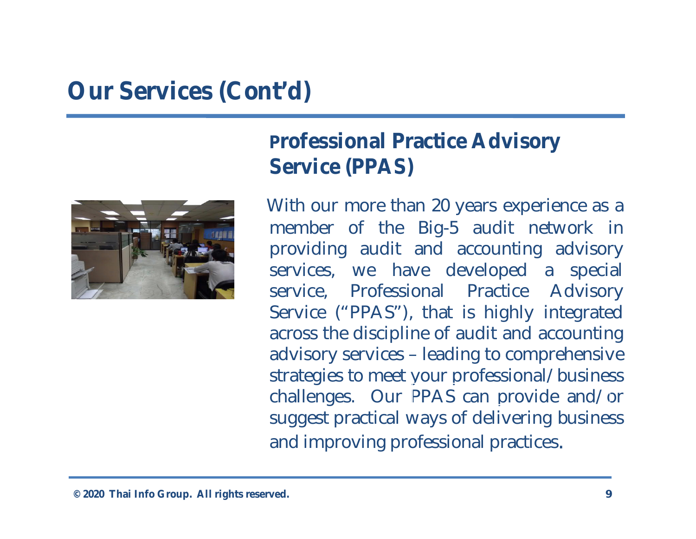

**Professional Practice Advisory Service (PPAS)**

With our more than 20 years experience as a member of the Big-5 audit network in providing audit and accounting advisory services, we have developed a special service, Professional Practice Advisory Service ("PPAS"), that is highly integrated across the discipline of audit and accounting advisory services – leading to comprehensive strategies to meet your professional/business challenges. Our PPAS can provide and/or suggest practical ways of delivering business and improving professional practices.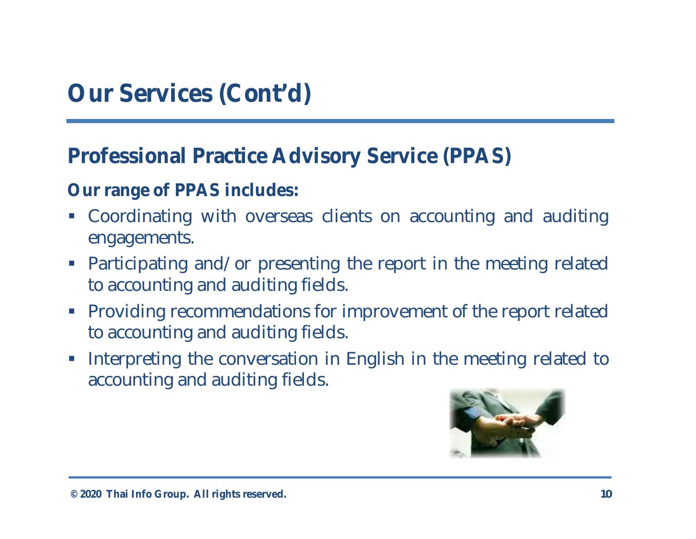**Professional Practice Advisory Service (PPAS)**

**Our range of PPAS includes:**

- § Coordinating with overseas clients on accounting and auditing engagements.
- Participating and/or presenting the report in the meeting related to accounting and auditing fields.
- Providing recommendations for improvement of the report related to accounting and auditing fields.
- Interpreting the conversation in English in the meeting related to accounting and auditing fields.

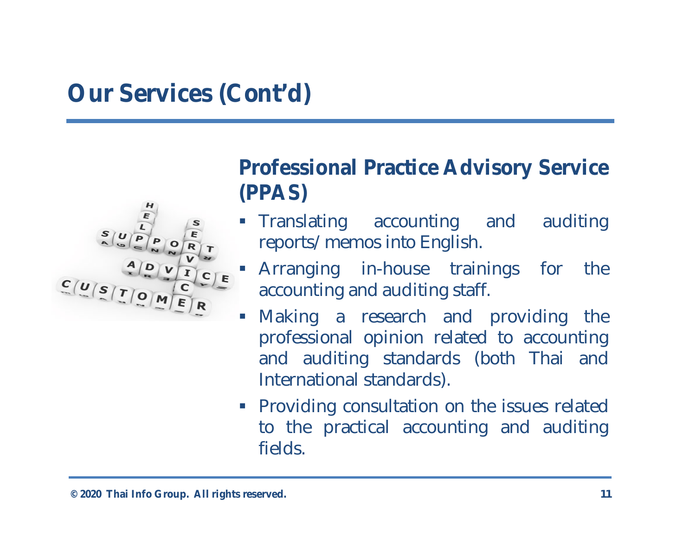

**Professional Practice Advisory Service (PPAS)**

- § Translating accounting and auditing reports/memos into English.
- § Arranging in-house trainings for the accounting and auditing staff.
- Making a research and providing the professional opinion related to accounting and auditing standards (both Thai and International standards).
- Providing consultation on the issues related to the practical accounting and auditing fields.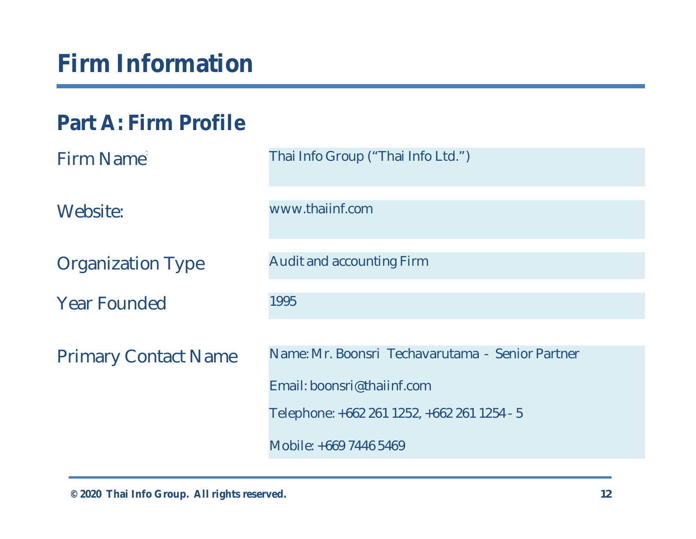## **Firm Information**

### **Part A: Firm Profile**

| Firm Name                   | Thai Info Group ("Thai Info Ltd.")               |
|-----------------------------|--------------------------------------------------|
| Website:                    | www.thaiinf.com                                  |
| <b>Organization Type</b>    | <b>Audit and accounting Firm</b>                 |
| <b>Year Founded</b>         | 1995                                             |
| <b>Primary Contact Name</b> | Name: Mr. Boonsri Techavarutama - Senior Partner |
|                             | Email: boonsri@thaiinf.com                       |
|                             | Telephone: +662 261 1252, +662 261 1254 - 5      |
|                             | Mobile: +669 7446 5469                           |

**© 2020 Thai Info Group. All rights reserved. 12**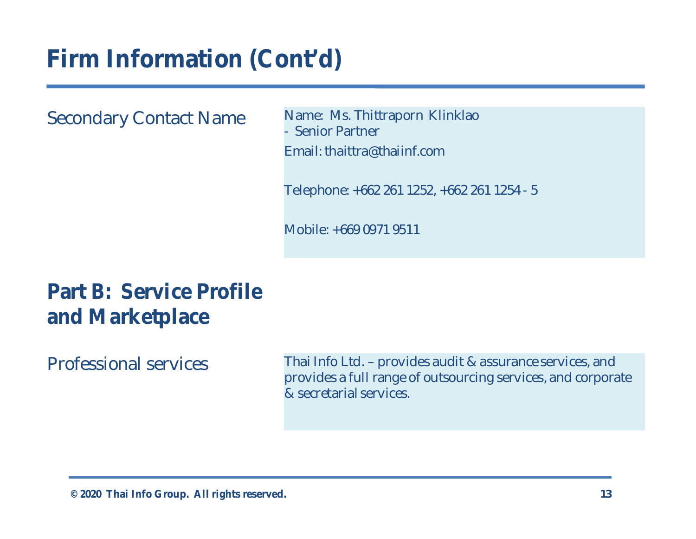Secondary Contact Name Name: Ms. Thittraporn Klinklao - Senior Partner Email: thaittra@thaiinf.com

Telephone: +662 261 1252, +662 261 1254 - 5

Mobile: +669 0971 9511

### **Part B: Service Profile and Marketplace**

Professional services Thai Info Ltd. – provides audit & assurance services, and provides a full range of outsourcing services, and corporate & secretarial services.

**© 2020 Thai Info Group. All rights reserved. 13**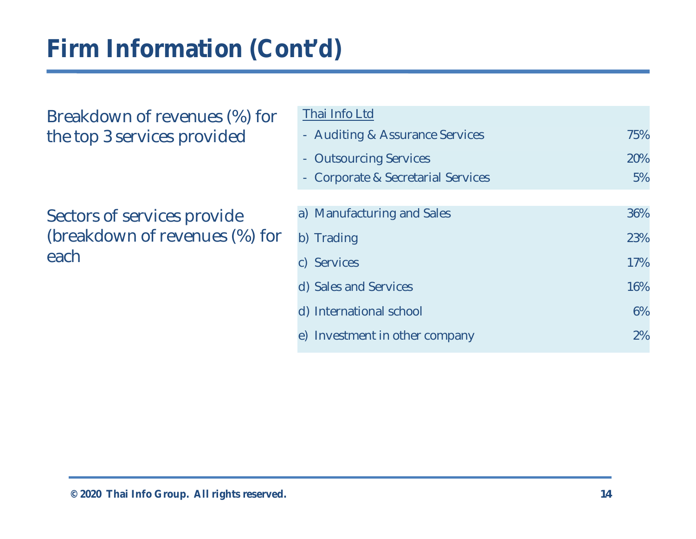Breakdown of revenues (%) for the top 3 services provided

Sectors of services provide (breakdown of revenues (%) for each

| Thai Info Ltd                    |     |
|----------------------------------|-----|
| - Auditing & Assurance Services  | 75% |
| <b>Outsourcing Services</b>      | 20% |
| Corporate & Secretarial Services | 5%  |
|                                  |     |
| a) Manufacturing and Sales       | 36% |
| b) Trading                       | 23% |
| c) Services                      | 17% |
| d) Sales and Services            | 16% |
| d) International school          | 6%  |
| e) Investment in other company   | 2%  |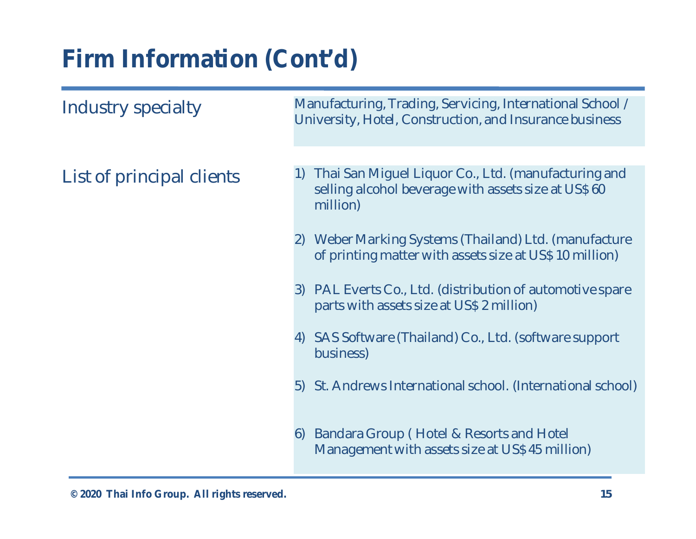| Industry specialty        |    | Manufacturing, Trading, Servicing, International School /<br>University, Hotel, Construction, and Insurance business   |
|---------------------------|----|------------------------------------------------------------------------------------------------------------------------|
|                           |    |                                                                                                                        |
| List of principal clients | 1) | Thai San Miguel Liquor Co., Ltd. (manufacturing and<br>selling alcohol beverage with assets size at US\$60<br>million) |
|                           | 2) | Weber Marking Systems (Thailand) Ltd. (manufacture<br>of printing matter with assets size at US\$ 10 million)          |
|                           | 3) | PAL Everts Co., Ltd. (distribution of automotive spare<br>parts with assets size at US\$ 2 million)                    |
|                           | 4) | SAS Software (Thailand) Co., Ltd. (software support<br>business)                                                       |
|                           |    | 5) St. Andrews International school. (International school)                                                            |
|                           | 6) | Bandara Group (Hotel & Resorts and Hotel<br>Management with assets size at US\$45 million)                             |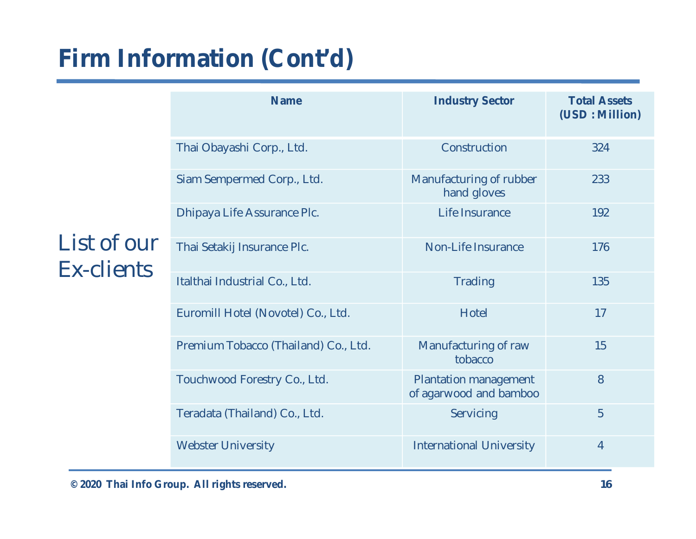| List of our<br><b>Ex-clients</b> | <b>Name</b>                          | <b>Industry Sector</b>                          | <b>Total Assets</b><br>(USD: Million) |
|----------------------------------|--------------------------------------|-------------------------------------------------|---------------------------------------|
|                                  | Thai Obayashi Corp., Ltd.            | Construction                                    | 324                                   |
|                                  | Siam Sempermed Corp., Ltd.           | Manufacturing of rubber<br>hand gloves          | 233                                   |
|                                  | Dhipaya Life Assurance Plc.          | Life Insurance                                  | 192                                   |
|                                  | Thai Setakij Insurance Plc.          | Non-Life Insurance                              | 176                                   |
|                                  | Italthai Industrial Co., Ltd.        | <b>Trading</b>                                  | 135                                   |
|                                  | Euromill Hotel (Novotel) Co., Ltd.   | Hotel                                           | 17                                    |
|                                  | Premium Tobacco (Thailand) Co., Ltd. | Manufacturing of raw<br>tobacco                 | 15                                    |
|                                  | Touchwood Forestry Co., Ltd.         | Plantation management<br>of agarwood and bamboo | 8                                     |
|                                  | Teradata (Thailand) Co., Ltd.        | Servicing                                       | 5                                     |
|                                  | <b>Webster University</b>            | <b>International University</b>                 | $\overline{4}$                        |

**© 2020 Thai Info Group. All rights reserved. 16**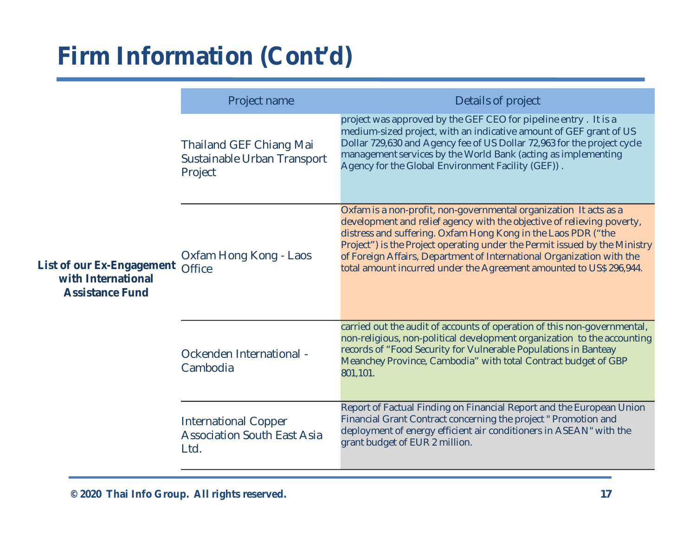|                                                                           | Project name                                                              | Details of project                                                                                                                                                                                                                                                                                                                                                                                                                         |
|---------------------------------------------------------------------------|---------------------------------------------------------------------------|--------------------------------------------------------------------------------------------------------------------------------------------------------------------------------------------------------------------------------------------------------------------------------------------------------------------------------------------------------------------------------------------------------------------------------------------|
|                                                                           | <b>Thailand GEF Chiang Mai</b><br>Sustainable Urban Transport<br>Project  | project was approved by the GEF CEO for pipeline entry. It is a<br>medium-sized project, with an indicative amount of GEF grant of US<br>Dollar 729,630 and Agency fee of US Dollar 72,963 for the project cycle<br>management services by the World Bank (acting as implementing<br>Agency for the Global Environment Facility (GEF)).                                                                                                    |
| List of our Ex-Engagement<br>with International<br><b>Assistance Fund</b> | Oxfam Hong Kong - Laos<br><b>Office</b>                                   | Oxfam is a non-profit, non-governmental organization It acts as a<br>development and relief agency with the objective of relieving poverty,<br>distress and suffering. Oxfam Hong Kong in the Laos PDR ("the<br>Project") is the Project operating under the Permit issued by the Ministry<br>of Foreign Affairs, Department of International Organization with the<br>total amount incurred under the Agreement amounted to US\$ 296,944. |
|                                                                           | Ockenden International -<br>Cambodia                                      | carried out the audit of accounts of operation of this non-governmental,<br>non-religious, non-political development organization to the accounting<br>records of "Food Security for Vulnerable Populations in Banteay<br>Meanchey Province, Cambodia" with total Contract budget of GBP<br>801,101.                                                                                                                                       |
|                                                                           | <b>International Copper</b><br><b>Association South East Asia</b><br>Ltd. | Report of Factual Finding on Financial Report and the European Union<br>Financial Grant Contract concerning the project " Promotion and<br>deployment of energy efficient air conditioners in ASEAN" with the<br>grant budget of EUR 2 million.                                                                                                                                                                                            |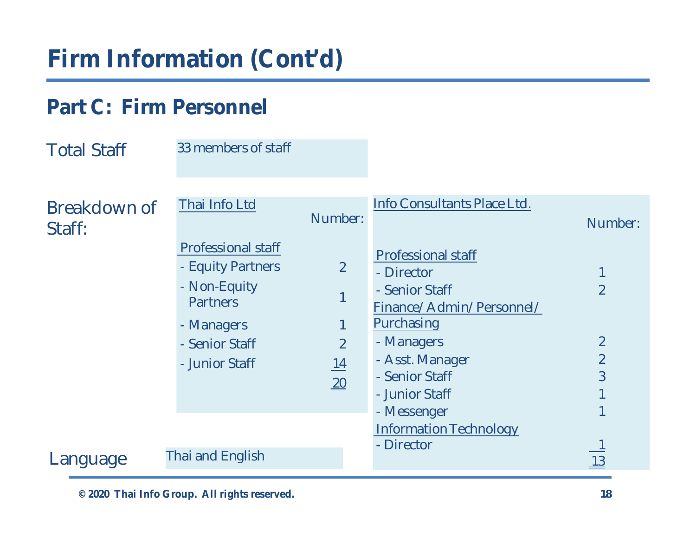### **Part C: Firm Personnel**

| <b>Total Staff</b>     | 33 members of staff                                                                                                                 |                                               |                                                                                                                                      |                                       |
|------------------------|-------------------------------------------------------------------------------------------------------------------------------------|-----------------------------------------------|--------------------------------------------------------------------------------------------------------------------------------------|---------------------------------------|
| Breakdown of<br>Staff: | Thai Info Ltd                                                                                                                       | Number:                                       | Info Consultants Place Ltd.                                                                                                          | Number:                               |
|                        | <b>Professional staff</b><br>- Equity Partners<br>- Non-Equity<br><b>Partners</b><br>- Managers<br>- Senior Staff<br>- Junior Staff | $\overline{2}$<br>$\overline{2}$<br><u>14</u> | <b>Professional staff</b><br>- Director<br>- Senior Staff<br>Finance/Admin/Personnel/<br>Purchasing<br>- Managers<br>- Asst. Manager | $\overline{2}$<br>$\overline{2}$<br>2 |
| Language               | <b>Thai and English</b>                                                                                                             | $\underline{20}$                              | - Senior Staff<br>- Junior Staff<br>- Messenger<br><b>Information Technology</b><br>- Director                                       | 3<br>13                               |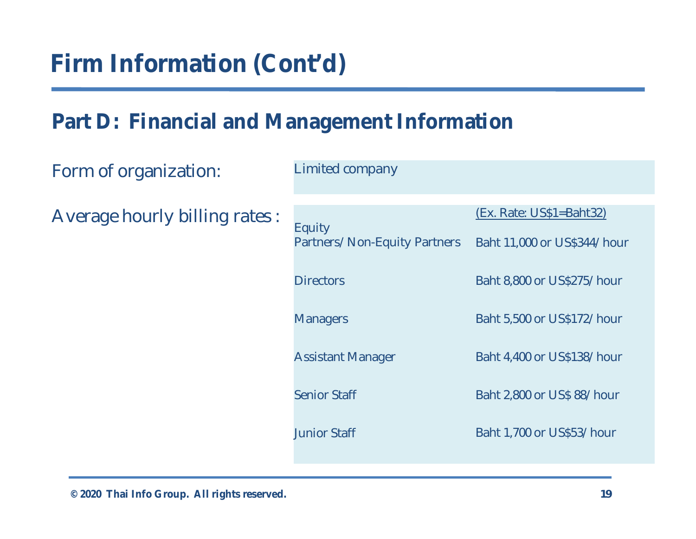### **Part D: Financial and Management Information**

| Form of organization:          | <b>Limited company</b>                 |                                                          |
|--------------------------------|----------------------------------------|----------------------------------------------------------|
| Average hourly billing rates : | Equity<br>Partners/Non-Equity Partners | $(EX. Rate: US$1=Bah132)$<br>Baht 11,000 or US\$344/hour |
|                                | <b>Directors</b>                       | Baht 8,800 or US\$275/hour                               |
|                                | <b>Managers</b>                        | Baht 5,500 or US\$172/hour                               |
|                                | <b>Assistant Manager</b>               | Baht 4,400 or US\$138/hour                               |
|                                | <b>Senior Staff</b>                    | Baht 2,800 or US\$ 88/hour                               |
|                                | <b>Junior Staff</b>                    | Baht 1,700 or US\$53/hour                                |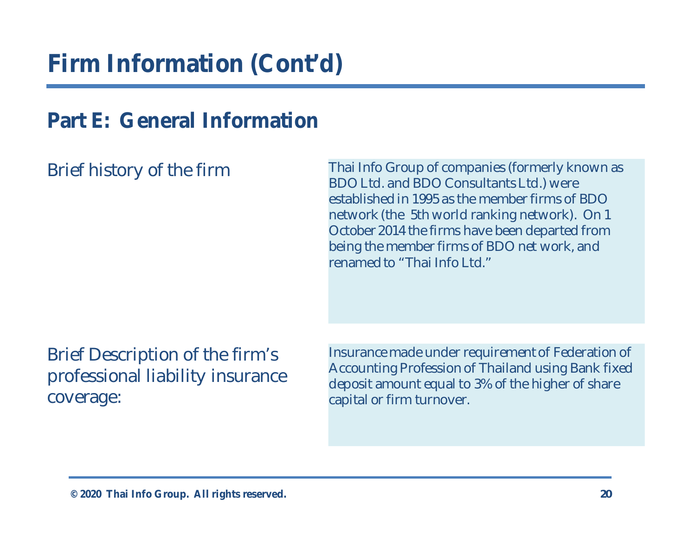### **Part E: General Information**

Brief history of the firm Thai Info Group of companies (formerly known as BDO Ltd. and BDO Consultants Ltd.) were established in 1995 as the member firms of BDO network (the 5th world ranking network). On 1 October 2014 the firms have been departed from being the member firms of BDO net work, and renamed to "Thai Info Ltd."

Brief Description of the firm's professional liability insurance coverage:

Insurance made under requirement of Federation of Accounting Profession of Thailand using Bank fixed deposit amount equal to 3% of the higher of share capital or firm turnover.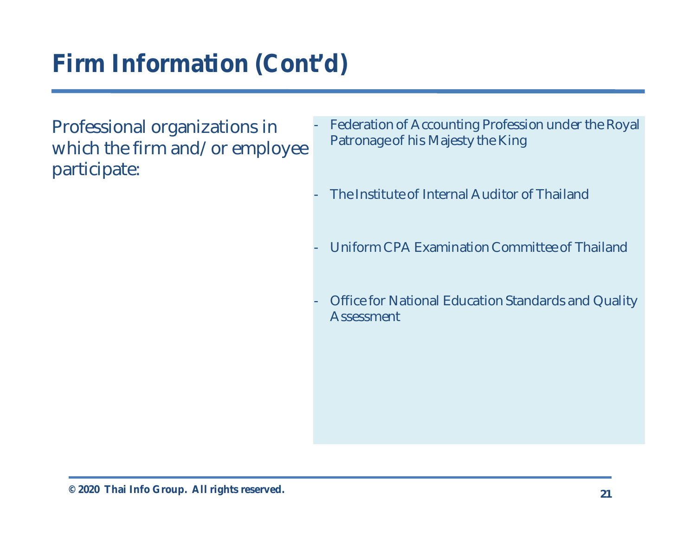Professional organizations in which the firm and/or employee participate:

- Federation of Accounting Profession under the Royal Patronage of his Majesty the King
- The Institute of Internal Auditor of Thailand
- Uniform CPA Examination Committee of Thailand
- Office for National Education Standards and Quality Assessment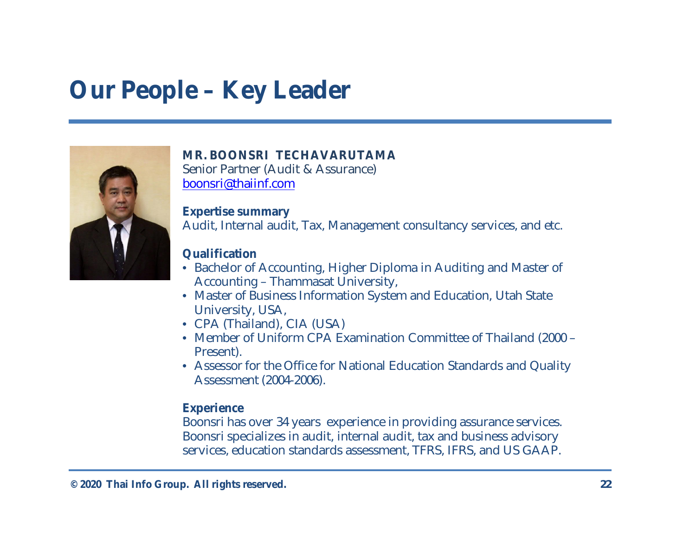## **Our People – Key Leader**



**MR. BOONSRI TECHAVARUTAMA** Senior Partner (Audit & Assurance) boonsri@thaiinf.com

**Expertise summary** Audit, Internal audit, Tax, Management consultancy services, and etc.

#### **Qualification**

- Bachelor of Accounting, Higher Diploma in Auditing and Master of Accounting – Thammasat University,
- Master of Business Information System and Education, Utah State University, USA,
- CPA (Thailand), CIA (USA)
- Member of Uniform CPA Examination Committee of Thailand (2000 Present).
- Assessor for the Office for National Education Standards and Quality Assessment (2004-2006).

#### **Experience**

Boonsri has over 34 years experience in providing assurance services. Boonsri specializes in audit, internal audit, tax and business advisory services, education standards assessment, TFRS, IFRS, and US GAAP.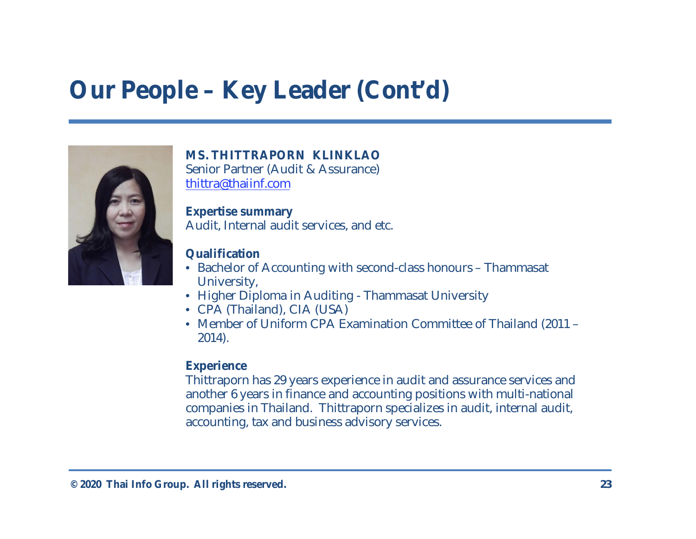## **Our People – Key Leader (Cont'd)**



**MS. THITTRAPORN KLINKLAO** Senior Partner (Audit & Assurance) thittra@thaiinf.com

**Expertise summary** Audit, Internal audit services, and etc.

#### **Qualification**

- Bachelor of Accounting with second-class honours Thammasat University,
- Higher Diploma in Auditing Thammasat University
- CPA (Thailand), CIA (USA)
- Member of Uniform CPA Examination Committee of Thailand (2011 2014).

#### **Experience**

Thittraporn has 29 years experience in audit and assurance services and another 6 years in finance and accounting positions with multi-national companies in Thailand. Thittraporn specializes in audit, internal audit, accounting, tax and business advisory services.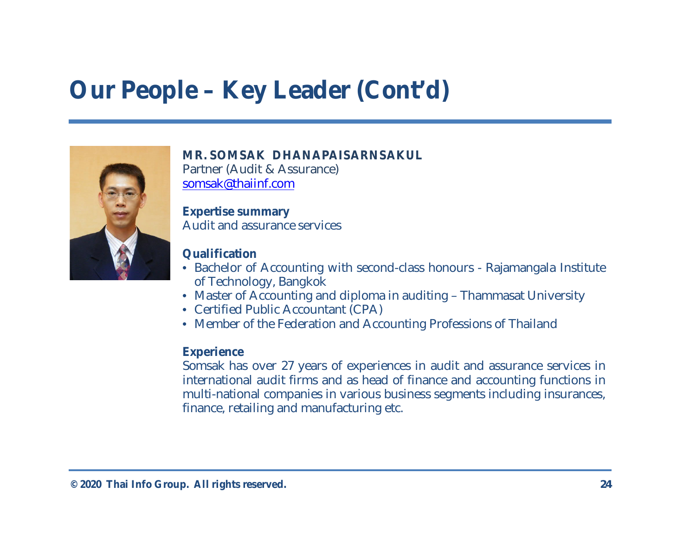## **Our People – Key Leader (Cont'd)**



**MR. SOMSAK DHANAPAISARNSAKUL** Partner (Audit & Assurance) somsak@thaiinf.com

**Expertise summary** Audit and assurance services

#### **Qualification**

- Bachelor of Accounting with second-class honours Rajamangala Institute of Technology, Bangkok
- Master of Accounting and diploma in auditing Thammasat University
- Certified Public Accountant (CPA)
- Member of the Federation and Accounting Professions of Thailand

#### **Experience**

Somsak has over 27 years of experiences in audit and assurance services in international audit firms and as head of finance and accounting functions in multi-national companies in various business segments including insurances, finance, retailing and manufacturing etc.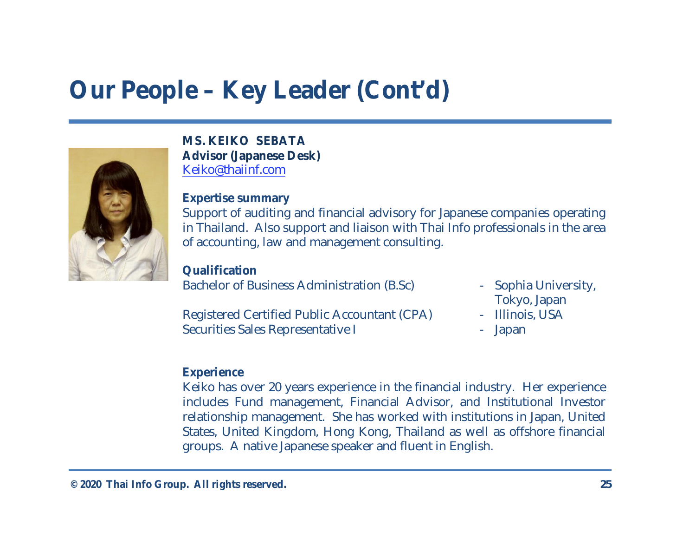## **Our People – Key Leader (Cont'd)**

**MS. KEIKO SEBATA Advisor (Japanese Desk)** Keiko@thaiinf.com

**Expertise summary** Support of auditing and financial advisory for Japanese companies operating in Thailand. Also support and liaison with Thai Info professionals in the area of accounting, law and management consulting.

**Qualification** Bachelor of Business Administration (B.Sc) - Sophia University,

Registered Certified Public Accountant (CPA) - Illinois, USA Securities Sales Representative I and the securities Sales Representative I and the securities of the securities

- Tokyo, Japan
- 
- 

#### **Experience**

Keiko has over 20 years experience in the financial industry. Her experience includes Fund management, Financial Advisor, and Institutional Investor relationship management. She has worked with institutions in Japan, United States, United Kingdom, Hong Kong, Thailand as well as offshore financial groups. A native Japanese speaker and fluent in English.